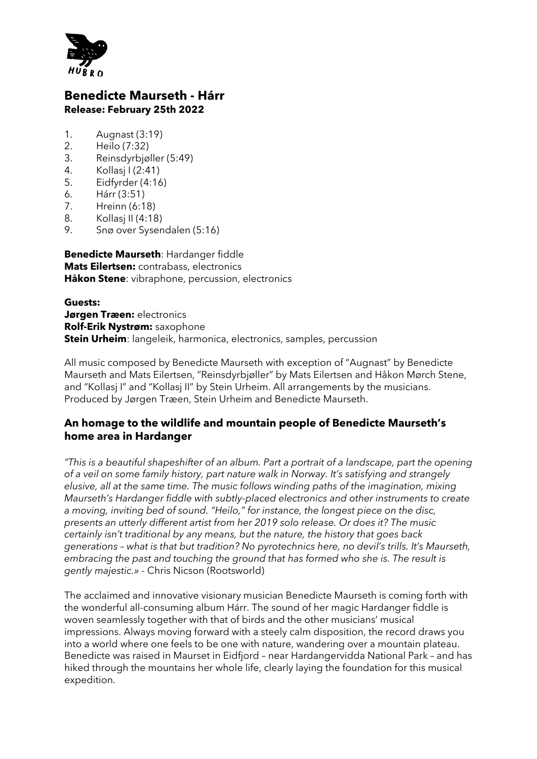

## **Benedicte Maurseth - Hárr Release: February 25th 2022**

- 1. Augnast (3:19)
- 2. Heilo (7:32)
- 3. Reinsdyrbjøller (5:49)
- 4. Kollasj I (2:41)
- 5. Eidfyrder (4:16)
- 6. Hárr (3:51)
- 7. Hreinn (6:18)
- 8. Kollasj II (4:18)
- 9. Snø over Sysendalen (5:16)

**Benedicte Maurseth**: Hardanger fiddle **Mats Eilertsen:** contrabass, electronics **Håkon Stene**: vibraphone, percussion, electronics

**Guests: Jørgen Træen:** electronics **Rolf-Erik Nystrøm:** saxophone **Stein Urheim**: langeleik, harmonica, electronics, samples, percussion

All music composed by Benedicte Maurseth with exception of "Augnast" by Benedicte Maurseth and Mats Eilertsen, "Reinsdyrbjøller" by Mats Eilertsen and Håkon Mørch Stene, and "Kollasj I" and "Kollasj II" by Stein Urheim. All arrangements by the musicians. Produced by Jørgen Træen, Stein Urheim and Benedicte Maurseth.

## **An homage to the wildlife and mountain people of Benedicte Maurseth's home area in Hardanger**

*"This is a beautiful shapeshifter of an album. Part a portrait of a landscape, part the opening of a veil on some family history, part nature walk in Norway. It's satisfying and strangely elusive, all at the same time. The music follows winding paths of the imagination, mixing Maurseth's Hardanger fiddle with subtly-placed electronics and other instruments to create a moving, inviting bed of sound. "Heilo," for instance, the longest piece on the disc, presents an utterly different artist from her 2019 solo release. Or does it? The music certainly isn't traditional by any means, but the nature, the history that goes back generations – what is that but tradition? No pyrotechnics here, no devil's trills. It's Maurseth, embracing the past and touching the ground that has formed who she is. The result is gently majestic.» -* Chris Nicson (Rootsworld)

The acclaimed and innovative visionary musician Benedicte Maurseth is coming forth with the wonderful all-consuming album Hárr. The sound of her magic Hardanger fiddle is woven seamlessly together with that of birds and the other musicians' musical impressions. Always moving forward with a steely calm disposition, the record draws you into a world where one feels to be one with nature, wandering over a mountain plateau. Benedicte was raised in Maurset in Eidfjord – near Hardangervidda National Park – and has hiked through the mountains her whole life, clearly laying the foundation for this musical expedition.